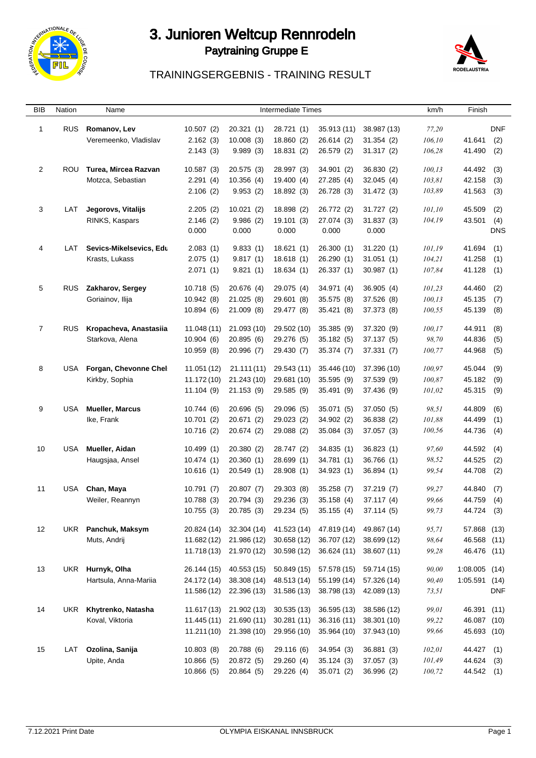

## 3. Junioren Weltcup Rennrodeln Paytraining Gruppe E



## TRAININGSERGEBNIS - TRAINING RESULT

| BIB            | Nation     | Name                    |             |             | <b>Intermediate Times</b> |             |             | km/h    | Finish          |            |  |
|----------------|------------|-------------------------|-------------|-------------|---------------------------|-------------|-------------|---------|-----------------|------------|--|
| $\overline{1}$ | <b>RUS</b> | Romanov, Lev            | 10.507(2)   | 20.321(1)   | 28.721 (1)                | 35.913 (11) | 38.987 (13) | 77,20   |                 | <b>DNF</b> |  |
|                |            | Veremeenko, Vladislav   | 2.162(3)    | 10.008(3)   | 18.860 (2)                | 26.614 (2)  | 31.354(2)   | 106,10  | 41.641          | (2)        |  |
|                |            |                         | 2.143(3)    | 9.989(3)    | 18.831 (2)                | 26.579 (2)  | 31.317(2)   | 106,28  | 41.490          | (2)        |  |
| $\overline{2}$ | ROU        | Turea, Mircea Razvan    | 10.587(3)   | 20.575(3)   | 28.997 (3)                | 34.901 (2)  | 36.830(2)   | 100,13  | 44.492          | (3)        |  |
|                |            | Motzca, Sebastian       | 2.291(4)    | 10.356(4)   | 19.400 (4)                | 27.285 (4)  | 32.045(4)   | 103,81  | 42.158          | (3)        |  |
|                |            |                         | 2.106(2)    | 9.953(2)    | 18.892 (3)                | 26.728 (3)  | 31.472(3)   | 103,89  | 41.563          | (3)        |  |
| 3              | LAT        | Jegorovs, Vitalijs      | 2.205(2)    | 10.021(2)   | 18.898 (2)                | 26.772 (2)  | 31.727(2)   | 101,10  | 45.509          | (2)        |  |
|                |            | RINKS, Kaspars          | 2.146(2)    | 9.986(2)    | 19.101(3)                 | 27.074 (3)  | 31.837(3)   | 104,19  | 43.501          | (4)        |  |
|                |            |                         | 0.000       | 0.000       | 0.000                     | 0.000       | 0.000       |         |                 | <b>DNS</b> |  |
| 4              | LAT        | Sevics-Mikelsevics, Edu | 2.083(1)    | 9.833(1)    | 18.621(1)                 | 26.300(1)   | 31.220(1)   | 101,19  | 41.694          | (1)        |  |
|                |            | Krasts, Lukass          | 2.075(1)    | 9.817(1)    | 18.618(1)                 | 26.290(1)   | 31.051(1)   | 104,21  | 41.258          | (1)        |  |
|                |            |                         | 2.071(1)    | 9.821(1)    | 18.634(1)                 | 26.337 (1)  | 30.987(1)   | 107,84  | 41.128          | (1)        |  |
| 5              | <b>RUS</b> | Zakharov, Sergey        | 10.718 (5)  | 20.676 (4)  | 29.075 (4)                | 34.971 (4)  | 36.905(4)   | 101,23  | 44.460          | (2)        |  |
|                |            | Goriainov, Ilija        | 10.942(8)   | 21.025(8)   | 29.601 (8)                | 35.575 (8)  | 37.526 (8)  | 100,13  | 45.135          | (7)        |  |
|                |            |                         | 10.894(6)   | 21.009 (8)  | 29.477 (8)                | 35.421 (8)  | 37.373 (8)  | 100,55  | 45.139          | (8)        |  |
| $\overline{7}$ | <b>RUS</b> | Kropacheva, Anastasiia  | 11.048(11)  | 21.093 (10) | 29.502 (10)               | 35.385 (9)  | 37.320 (9)  | 100,17  | 44.911          | (8)        |  |
|                |            | Starkova, Alena         | 10.904(6)   | 20.895 (6)  | 29.276 (5)                | 35.182 (5)  | 37.137(5)   | 98,70   | 44.836          | (5)        |  |
|                |            |                         | 10.959 (8)  | 20.996 (7)  | 29.430 (7)                | 35.374 (7)  | 37.331(7)   | 100,77  | 44.968          | (5)        |  |
| 8              | USA        | Forgan, Chevonne Chel   | 11.051 (12) | 21.111(11)  | 29.543 (11)               | 35.446 (10) | 37.396 (10) | 100,97  | 45.044          | (9)        |  |
|                |            | Kirkby, Sophia          | 11.172 (10) | 21.243 (10) | 29.681 (10)               | 35.595 (9)  | 37.539 (9)  | 100,87  | 45.182          | (9)        |  |
|                |            |                         | 11.104(9)   | 21.153 (9)  | 29.585 (9)                | 35.491 (9)  | 37.436 (9)  | 101,02  | 45.315          | (9)        |  |
| 9              | <b>USA</b> | <b>Mueller, Marcus</b>  | 10.744(6)   | 20.696 (5)  | 29.096 (5)                | 35.071 (5)  | 37.050 (5)  | 98,51   | 44.809          | (6)        |  |
|                |            | Ike, Frank              | 10.701(2)   | 20.671 (2)  | 29.023 (2)                | 34.902 (2)  | 36.838 (2)  | 101,88  | 44.499          | (1)        |  |
|                |            |                         | 10.716(2)   | 20.674 (2)  | 29.088 (2)                | 35.084 (3)  | 37.057(3)   | 100,56  | 44.736          | (4)        |  |
| 10             | USA        | Mueller, Aidan          | 10.499(1)   | 20.380 (2)  | 28.747 (2)                | 34.835(1)   | 36.823(1)   | 97,60   | 44.592          | (4)        |  |
|                |            | Haugsjaa, Ansel         | 10.474(1)   | 20.360(1)   | 28.699 (1)                | 34.781 (1)  | 36.766 (1)  | 98,52   | 44.525          | (2)        |  |
|                |            |                         | 10.616(1)   | 20.549(1)   | 28.908 (1)                | 34.923 (1)  | 36.894(1)   | 99,54   | 44.708          | (2)        |  |
| 11             | USA        | Chan, Maya              | 10.791(7)   | 20.807(7)   | 29.303 (8)                | 35.258 (7)  | 37.219(7)   | 99,27   | 44.840          | (7)        |  |
|                |            | Weiler, Reannyn         | 10.788(3)   | 20.794 (3)  | 29.236 (3)                | 35.158 (4)  | 37.117 (4)  | 99,66   | 44.759          | (4)        |  |
|                |            |                         | 10.755(3)   | 20.785 (3)  | 29.234 (5)                | 35.155 (4)  | 37.114(5)   | 99,73   | 44.724 (3)      |            |  |
| 12             |            | UKR Panchuk, Maksym     | 20.824 (14) | 32.304 (14) | 41.523 (14)               | 47.819 (14) | 49.867 (14) | 95,71   | 57.868 (13)     |            |  |
|                |            | Muts, Andrij            | 11.682 (12) | 21.986 (12) | 30.658(12)                | 36.707 (12) | 38.699 (12) | 98,64   | 46.568 (11)     |            |  |
|                |            |                         | 11.718 (13) | 21.970 (12) | 30.598 (12)               | 36.624 (11) | 38.607 (11) | 99,28   | 46.476 (11)     |            |  |
| 13             |            | UKR Hurnyk, Olha        | 26.144 (15) | 40.553 (15) | 50.849 (15)               | 57.578 (15) | 59.714 (15) | 90,00   | $1:08.005$ (14) |            |  |
|                |            | Hartsula, Anna-Mariia   | 24.172 (14) | 38.308 (14) | 48.513 (14)               | 55.199 (14) | 57.326 (14) | 90,40   | 1:05.591 (14)   |            |  |
|                |            |                         | 11.586 (12) | 22.396 (13) | 31.586 (13)               | 38.798 (13) | 42.089 (13) | 73,51   |                 | <b>DNF</b> |  |
| 14             | UKR        | Khytrenko, Natasha      | 11.617 (13) | 21.902 (13) | 30.535(13)                | 36.595 (13) | 38.586 (12) | 99,01   | 46.391 (11)     |            |  |
|                |            | Koval, Viktoria         | 11.445 (11) | 21.690 (11) | 30.281 (11)               | 36.316 (11) | 38.301 (10) | 99,22   | 46.087 (10)     |            |  |
|                |            |                         | 11.211(10)  | 21.398 (10) | 29.956 (10)               | 35.964 (10) | 37.943 (10) | 99,66   | 45.693 (10)     |            |  |
| 15             | LAT        | Ozolina, Sanija         | 10.803(8)   | 20.788 (6)  | 29.116 (6)                | 34.954 (3)  | 36.881(3)   | 102,01  | 44.427 (1)      |            |  |
|                |            | Upite, Anda             | 10.866(5)   | 20.872 (5)  | 29.260 (4)                | 35.124(3)   | 37.057 (3)  | 101,49  | 44.624 (3)      |            |  |
|                |            |                         | 10.866(5)   | 20.864 (5)  | 29.226 (4)                | 35.071 (2)  | 36.996 (2)  | 100, 72 | 44.542 (1)      |            |  |